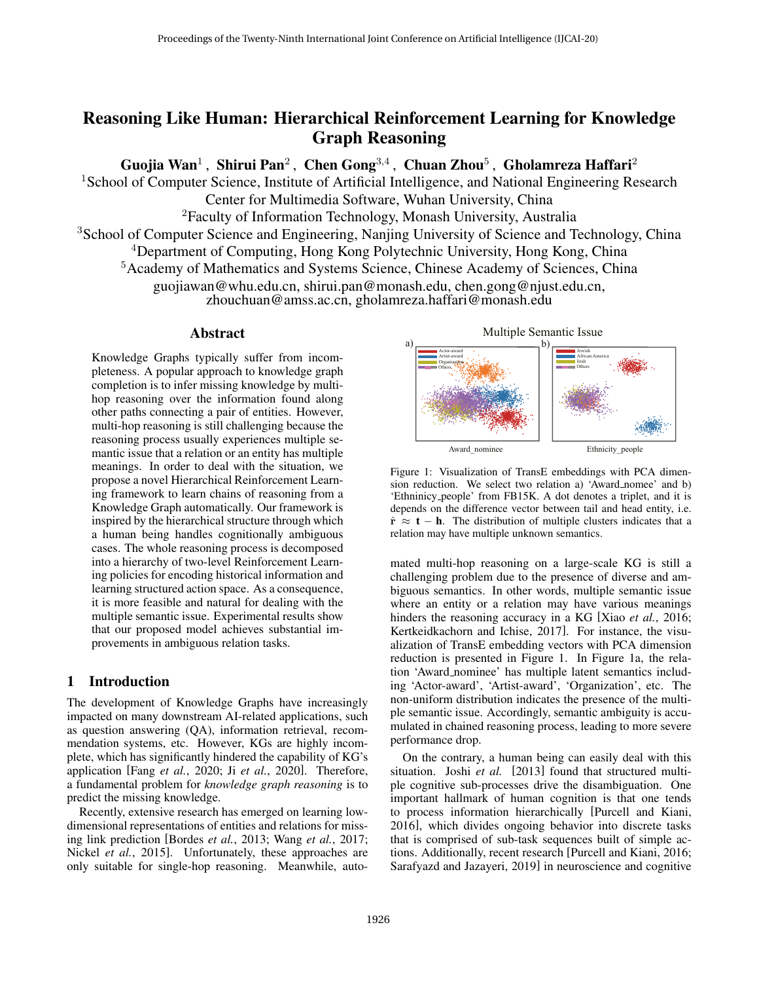# Reasoning Like Human: Hierarchical Reinforcement Learning for Knowledge Graph Reasoning

Guojia Wan $^1$  , Shirui Pan $^2$  , Chen Gong $^{3,4}$  , Chuan Zhou $^5$  , Gholamreza Haffari $^2$ 

<sup>1</sup> School of Computer Science, Institute of Artificial Intelligence, and National Engineering Research Center for Multimedia Software, Wuhan University, China

 ${}^{2}$ Faculty of Information Technology, Monash University, Australia

<sup>3</sup> School of Computer Science and Engineering, Nanjing University of Science and Technology, China

<sup>4</sup>Department of Computing, Hong Kong Polytechnic University, Hong Kong, China

<sup>5</sup>Academy of Mathematics and Systems Science, Chinese Academy of Sciences, China

guojiawan@whu.edu.cn, shirui.pan@monash.edu, chen.gong@njust.edu.cn,

zhouchuan@amss.ac.cn, gholamreza.haffari@monash.edu

#### Abstract

Knowledge Graphs typically suffer from incompleteness. A popular approach to knowledge graph completion is to infer missing knowledge by multihop reasoning over the information found along other paths connecting a pair of entities. However, multi-hop reasoning is still challenging because the reasoning process usually experiences multiple semantic issue that a relation or an entity has multiple meanings. In order to deal with the situation, we propose a novel Hierarchical Reinforcement Learning framework to learn chains of reasoning from a Knowledge Graph automatically. Our framework is inspired by the hierarchical structure through which a human being handles cognitionally ambiguous cases. The whole reasoning process is decomposed into a hierarchy of two-level Reinforcement Learning policies for encoding historical information and learning structured action space. As a consequence, it is more feasible and natural for dealing with the multiple semantic issue. Experimental results show that our proposed model achieves substantial improvements in ambiguous relation tasks.

## 1 Introduction

The development of Knowledge Graphs have increasingly impacted on many downstream AI-related applications, such as question answering (QA), information retrieval, recommendation systems, etc. However, KGs are highly incomplete, which has significantly hindered the capability of KG's application [Fang *et al.*, 2020; Ji *et al.*, 2020]. Therefore, a fundamental problem for *knowledge graph reasoning* is to predict the missing knowledge.

Recently, extensive research has emerged on learning lowdimensional representations of entities and relations for missing link prediction [Bordes *et al.*, 2013; Wang *et al.*, 2017; Nickel *et al.*, 2015]. Unfortunately, these approaches are only suitable for single-hop reasoning. Meanwhile, auto-





Figure 1: Visualization of TransE embeddings with PCA dimension reduction. We select two relation a) 'Award nomee' and b) 'Ethninicy people' from FB15K. A dot denotes a triplet, and it is depends on the difference vector between tail and head entity, i.e.  $\hat{\mathbf{r}} \approx \mathbf{t} - \mathbf{h}$ . The distribution of multiple clusters indicates that a relation may have multiple unknown semantics.

mated multi-hop reasoning on a large-scale KG is still a challenging problem due to the presence of diverse and ambiguous semantics. In other words, multiple semantic issue where an entity or a relation may have various meanings hinders the reasoning accuracy in a KG [Xiao *et al.*, 2016; Kertkeidkachorn and Ichise, 2017]. For instance, the visualization of TransE embedding vectors with PCA dimension reduction is presented in Figure 1. In Figure 1a, the relation 'Award nominee' has multiple latent semantics including 'Actor-award', 'Artist-award', 'Organization', etc. The non-uniform distribution indicates the presence of the multiple semantic issue. Accordingly, semantic ambiguity is accumulated in chained reasoning process, leading to more severe performance drop.

On the contrary, a human being can easily deal with this situation. Joshi *et al.* [2013] found that structured multiple cognitive sub-processes drive the disambiguation. One important hallmark of human cognition is that one tends to process information hierarchically [Purcell and Kiani, 2016], which divides ongoing behavior into discrete tasks that is comprised of sub-task sequences built of simple actions. Additionally, recent research [Purcell and Kiani, 2016; Sarafyazd and Jazayeri, 2019] in neuroscience and cognitive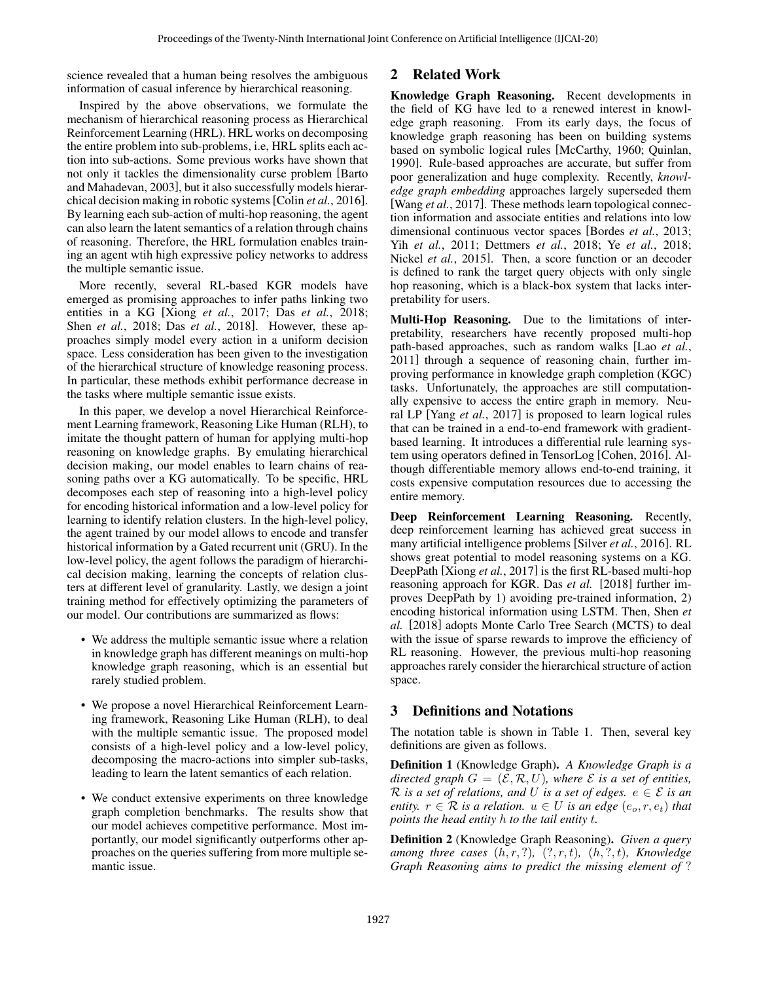science revealed that a human being resolves the ambiguous information of casual inference by hierarchical reasoning.

Inspired by the above observations, we formulate the mechanism of hierarchical reasoning process as Hierarchical Reinforcement Learning (HRL). HRL works on decomposing the entire problem into sub-problems, i.e, HRL splits each action into sub-actions. Some previous works have shown that not only it tackles the dimensionality curse problem [Barto and Mahadevan, 2003], but it also successfully models hierarchical decision making in robotic systems[Colin *et al.*, 2016]. By learning each sub-action of multi-hop reasoning, the agent can also learn the latent semantics of a relation through chains of reasoning. Therefore, the HRL formulation enables training an agent wtih high expressive policy networks to address the multiple semantic issue.

More recently, several RL-based KGR models have emerged as promising approaches to infer paths linking two entities in a KG [Xiong *et al.*, 2017; Das *et al.*, 2018; Shen *et al.*, 2018; Das *et al.*, 2018]. However, these approaches simply model every action in a uniform decision space. Less consideration has been given to the investigation of the hierarchical structure of knowledge reasoning process. In particular, these methods exhibit performance decrease in the tasks where multiple semantic issue exists.

In this paper, we develop a novel Hierarchical Reinforcement Learning framework, Reasoning Like Human (RLH), to imitate the thought pattern of human for applying multi-hop reasoning on knowledge graphs. By emulating hierarchical decision making, our model enables to learn chains of reasoning paths over a KG automatically. To be specific, HRL decomposes each step of reasoning into a high-level policy for encoding historical information and a low-level policy for learning to identify relation clusters. In the high-level policy, the agent trained by our model allows to encode and transfer historical information by a Gated recurrent unit (GRU). In the low-level policy, the agent follows the paradigm of hierarchical decision making, learning the concepts of relation clusters at different level of granularity. Lastly, we design a joint training method for effectively optimizing the parameters of our model. Our contributions are summarized as flows:

- We address the multiple semantic issue where a relation in knowledge graph has different meanings on multi-hop knowledge graph reasoning, which is an essential but rarely studied problem.
- We propose a novel Hierarchical Reinforcement Learning framework, Reasoning Like Human (RLH), to deal with the multiple semantic issue. The proposed model consists of a high-level policy and a low-level policy, decomposing the macro-actions into simpler sub-tasks, leading to learn the latent semantics of each relation.
- We conduct extensive experiments on three knowledge graph completion benchmarks. The results show that our model achieves competitive performance. Most importantly, our model significantly outperforms other approaches on the queries suffering from more multiple semantic issue.

## 2 Related Work

Knowledge Graph Reasoning. Recent developments in the field of KG have led to a renewed interest in knowledge graph reasoning. From its early days, the focus of knowledge graph reasoning has been on building systems based on symbolic logical rules [McCarthy, 1960; Quinlan, 1990]. Rule-based approaches are accurate, but suffer from poor generalization and huge complexity. Recently, *knowledge graph embedding* approaches largely superseded them [Wang *et al.*, 2017]. These methods learn topological connection information and associate entities and relations into low dimensional continuous vector spaces [Bordes *et al.*, 2013; Yih *et al.*, 2011; Dettmers *et al.*, 2018; Ye *et al.*, 2018; Nickel *et al.*, 2015]. Then, a score function or an decoder is defined to rank the target query objects with only single hop reasoning, which is a black-box system that lacks interpretability for users.

Multi-Hop Reasoning. Due to the limitations of interpretability, researchers have recently proposed multi-hop path-based approaches, such as random walks [Lao *et al.*, 2011] through a sequence of reasoning chain, further improving performance in knowledge graph completion (KGC) tasks. Unfortunately, the approaches are still computationally expensive to access the entire graph in memory. Neural LP [Yang *et al.*, 2017] is proposed to learn logical rules that can be trained in a end-to-end framework with gradientbased learning. It introduces a differential rule learning system using operators defined in TensorLog [Cohen, 2016]. Although differentiable memory allows end-to-end training, it costs expensive computation resources due to accessing the entire memory.

Deep Reinforcement Learning Reasoning. Recently, deep reinforcement learning has achieved great success in many artificial intelligence problems [Silver *et al.*, 2016]. RL shows great potential to model reasoning systems on a KG. DeepPath [Xiong *et al.*, 2017] is the first RL-based multi-hop reasoning approach for KGR. Das *et al.* [2018] further improves DeepPath by 1) avoiding pre-trained information, 2) encoding historical information using LSTM. Then, Shen *et al.* [2018] adopts Monte Carlo Tree Search (MCTS) to deal with the issue of sparse rewards to improve the efficiency of RL reasoning. However, the previous multi-hop reasoning approaches rarely consider the hierarchical structure of action space.

## 3 Definitions and Notations

The notation table is shown in Table 1. Then, several key definitions are given as follows.

Definition 1 (Knowledge Graph). *A Knowledge Graph is a directed graph*  $G = (\mathcal{E}, \mathcal{R}, U)$ *, where*  $\mathcal E$  *is a set of entities,* R *is a set of relations, and* U *is a set of edges.*  $e \in \mathcal{E}$  *is an entity.*  $r \in \mathcal{R}$  *is a relation.*  $u \in U$  *is an edge*  $(e_o, r, e_t)$  *that points the head entity* h *to the tail entity* t*.*

Definition 2 (Knowledge Graph Reasoning). *Given a query among three cases*  $(h, r, ?)$ *,*  $(?, r, t)$ *,*  $(h, ?, t)$ *, Knowledge Graph Reasoning aims to predict the missing element of* ?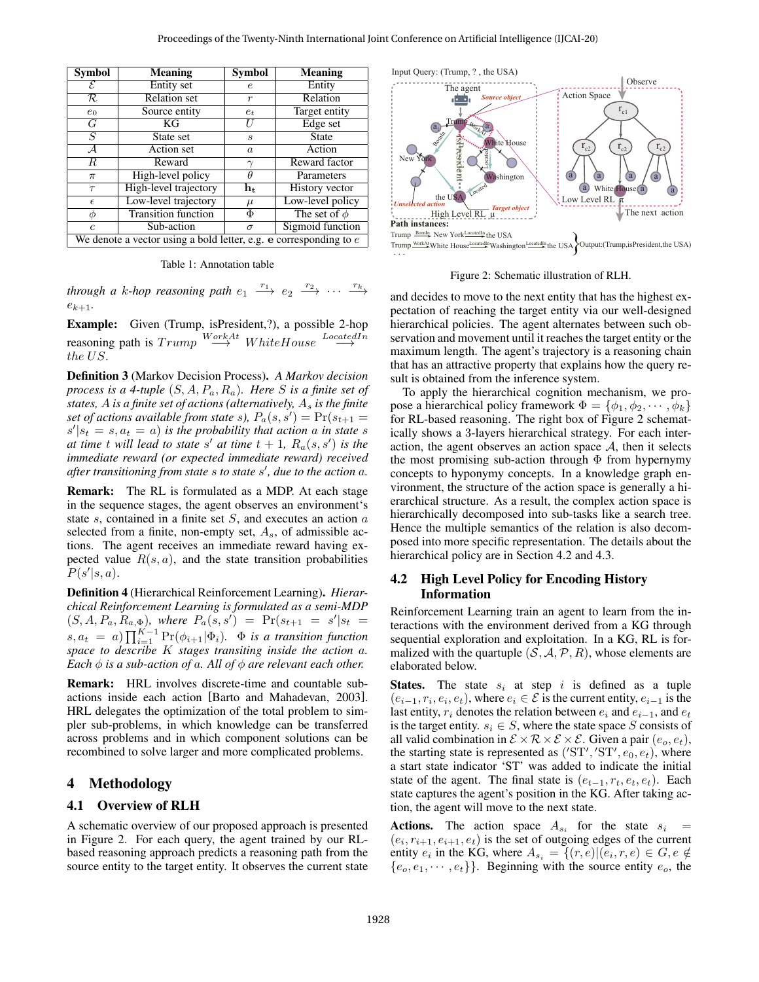| <b>Symbol</b>                   | <b>Meaning</b>                                                                                                                                                                                                                                                                                                                                                                                                                                                                                                                                                              | <b>Symbol</b>    | <b>Meaning</b>    | Input Query: (Trum                                                                                                                                                                                               |
|---------------------------------|-----------------------------------------------------------------------------------------------------------------------------------------------------------------------------------------------------------------------------------------------------------------------------------------------------------------------------------------------------------------------------------------------------------------------------------------------------------------------------------------------------------------------------------------------------------------------------|------------------|-------------------|------------------------------------------------------------------------------------------------------------------------------------------------------------------------------------------------------------------|
| $\overline{\mathcal{E}}$        | Entity set                                                                                                                                                                                                                                                                                                                                                                                                                                                                                                                                                                  | $\epsilon$       | Entity            | The a                                                                                                                                                                                                            |
| $\overline{\mathcal{R}}$        | <b>Relation</b> set                                                                                                                                                                                                                                                                                                                                                                                                                                                                                                                                                         | $\,r$            | Relation          |                                                                                                                                                                                                                  |
| $e_0$                           | Source entity                                                                                                                                                                                                                                                                                                                                                                                                                                                                                                                                                               | $e_t$            | Target entity     |                                                                                                                                                                                                                  |
| $\overline{G}$                  | $\overline{KG}$                                                                                                                                                                                                                                                                                                                                                                                                                                                                                                                                                             | U                | Edge set          | Trum                                                                                                                                                                                                             |
| $\overline{S}$                  | State set                                                                                                                                                                                                                                                                                                                                                                                                                                                                                                                                                                   | $\boldsymbol{s}$ | <b>State</b>      |                                                                                                                                                                                                                  |
| $\overline{\mathcal{A}}$        | Action set                                                                                                                                                                                                                                                                                                                                                                                                                                                                                                                                                                  | $\it a$          | Action            | fsHresrdent-<br>New York                                                                                                                                                                                         |
| $\overline{R}$                  | Reward                                                                                                                                                                                                                                                                                                                                                                                                                                                                                                                                                                      | $\gamma$         | Reward factor     |                                                                                                                                                                                                                  |
| $\pi$                           | High-level policy                                                                                                                                                                                                                                                                                                                                                                                                                                                                                                                                                           | $\theta$         | Parameters        |                                                                                                                                                                                                                  |
| $\tau$                          | High-level trajectory                                                                                                                                                                                                                                                                                                                                                                                                                                                                                                                                                       | $h_t$            | History vector    | the USA                                                                                                                                                                                                          |
| $\epsilon$                      | Low-level trajectory                                                                                                                                                                                                                                                                                                                                                                                                                                                                                                                                                        | $\mu$            | Low-level policy  | <b>Unselected</b> action                                                                                                                                                                                         |
| $\phi$                          | <b>Transition function</b>                                                                                                                                                                                                                                                                                                                                                                                                                                                                                                                                                  | Φ                | The set of $\phi$ | High Lev                                                                                                                                                                                                         |
| $\boldsymbol{c}$                | Sub-action                                                                                                                                                                                                                                                                                                                                                                                                                                                                                                                                                                  | $\sigma$         | Sigmoid function  | Path instances:<br>Trump Bornin New York                                                                                                                                                                         |
|                                 | We denote a vector using a bold letter, e.g. $e$ corresponding to $e$                                                                                                                                                                                                                                                                                                                                                                                                                                                                                                       |                  |                   | Trump WorkAt White Hou:                                                                                                                                                                                          |
| $e_{k+1}$                       | Table 1: Annotation table<br>through a k-hop reasoning path $e_1 \stackrel{r_1}{\longrightarrow} e_2 \stackrel{r_2}{\longrightarrow} \cdots \stackrel{r_k}{\longrightarrow}$                                                                                                                                                                                                                                                                                                                                                                                                |                  |                   | Fig<br>and decides to<br>pectation of re                                                                                                                                                                         |
| <b>Example:</b><br>the $US$ .   | Given (Trump, is President, ?), a possible 2-hop<br>reasoning path is $Trump \stackrel{WorkAt}{\longrightarrow} WhiteHouse \stackrel{LocatedIn}{\longrightarrow}$                                                                                                                                                                                                                                                                                                                                                                                                           |                  |                   | hierarchical po<br>servation and n<br>maximum leng<br>that has an attra                                                                                                                                          |
|                                 | Definition 3 (Markov Decision Process). A Markov decision<br>process is a 4-tuple $(S, A, P_a, R_a)$ . Here S is a finite set of<br>states, A is a finite set of actions (alternatively, $A_s$ is the finite<br>set of actions available from state s), $P_a(s, s') = Pr(s_{t+1} =$<br>$s' s_t = s, a_t = a$ is the probability that action a in state s<br>at time t will lead to state s' at time $t + 1$ , $R_a(s, s')$ is the<br>immediate reward (or expected immediate reward) received<br>after transitioning from state $s$ to state $s'$ , due to the action $a$ . |                  |                   | sult is obtained<br>To apply the<br>pose a hierarch<br>for RL-based r<br>ically shows a<br>action, the age<br>the most prom<br>concepts to hy                                                                    |
| <b>Remark:</b><br>$P(s' s,a)$ . | The RL is formulated as a MDP. At each stage<br>in the sequence stages, the agent observes an environment's<br>state $s$ , contained in a finite set $S$ , and executes an action $a$<br>selected from a finite, non-empty set, $A_s$ , of admissible ac-<br>tions. The agent receives an immediate reward having ex-<br>pected value $R(s, a)$ , and the state transition probabilities                                                                                                                                                                                    |                  |                   | vironment, the<br>erarchical struc<br>hierarchically<br>Hence the mul<br>posed into mor<br>hierarchical po                                                                                                       |
|                                 | <b>Definition 4</b> (Hierarchical Reinforcement Learning). Hierar-<br>chical Reinforcement Learning is formulated as a semi-MDP<br>$(S, A, P_a, R_{a, \Phi})$ , where $P_a(s, s') = Pr(s_{t+1} = s' s_t)$<br>$s, a_t = a) \prod_{i=1}^{K-1} \Pr(\phi_{i+1}   \Phi_i)$ . $\Phi$ is a transition function<br>space to describe $K$ stages transiting inside the action $a$ .<br>Each $\phi$ is a sub-action of a. All of $\phi$ are relevant each other.                                                                                                                      |                  |                   | 4.2<br>High Le<br><b>Inform:</b><br>Reinforcement<br>teractions with<br>sequential expl<br>malized with th<br>elaborated belc                                                                                    |
| <b>Remark:</b><br>4<br>4.1      | HRL involves discrete-time and countable sub-<br>actions inside each action [Barto and Mahadevan, 2003].<br>HRL delegates the optimization of the total problem to sim-<br>pler sub-problems, in which knowledge can be transferred<br>across problems and in which component solutions can be<br>recombined to solve larger and more complicated problems.<br><b>Methodology</b><br><b>Overview of RLH</b>                                                                                                                                                                 |                  |                   | The<br>States.<br>$(e_{i-1}, r_i, e_i, e_t)$<br>last entity, $r_i$ de<br>is the target ent<br>all valid combi<br>the starting sta<br>a start state in<br>state of the ago<br>state captures t<br>tion, the agent |
|                                 |                                                                                                                                                                                                                                                                                                                                                                                                                                                                                                                                                                             |                  |                   |                                                                                                                                                                                                                  |
|                                 | A schematic overview of our proposed approach is presented<br>in Figure 2. For each query, the agent trained by our RL-<br>based reasoning approach predicts a reasoning path from the<br>source entity to the target entity. It observes the current state                                                                                                                                                                                                                                                                                                                 |                  |                   | Actions.<br>The<br>$(e_i, r_{i+1}, e_{i+1},$<br>entity $e_i$ in the<br>$\{e_o, e_1, \cdots, e_t\}$                                                                                                               |

Table 1: Annotation table

#### 4 Methodology

#### 4.1 Overview of RLH



Figure 2: Schematic illustration of RLH.

and decides to move to the next entity that has the highest expectation of reaching the target entity via our well-designed hierarchical policies. The agent alternates between such observation and movement until it reaches the target entity or the maximum length. The agent's trajectory is a reasoning chain that has an attractive property that explains how the query result is obtained from the inference system.

To apply the hierarchical cognition mechanism, we propose a hierarchical policy framework  $\Phi = \{\phi_1, \phi_2, \dots, \phi_k\}$ for RL-based reasoning. The right box of Figure 2 schematically shows a 3-layers hierarchical strategy. For each interaction, the agent observes an action space  $A$ , then it selects the most promising sub-action through  $\Phi$  from hypernymy concepts to hyponymy concepts. In a knowledge graph environment, the structure of the action space is generally a hierarchical structure. As a result, the complex action space is hierarchically decomposed into sub-tasks like a search tree. Hence the multiple semantics of the relation is also decomposed into more specific representation. The details about the hierarchical policy are in Section 4.2 and 4.3.

#### 4.2 High Level Policy for Encoding History Information

Reinforcement Learning train an agent to learn from the interactions with the environment derived from a KG through sequential exploration and exploitation. In a KG, RL is formalized with the quartuple  $(S, A, P, R)$ , whose elements are elaborated below.

**States.** The state  $s_i$  at step i is defined as a tuple  $(e_{i-1}, r_i, e_i, e_t)$ , where  $e_i \in \mathcal{E}$  is the current entity,  $e_{i-1}$  is the last entity,  $r_i$  denotes the relation between  $e_i$  and  $e_{i-1}$ , and  $e_t$ is the target entity.  $s_i \in S$ , where the state space S consists of all valid combination in  $\mathcal{E} \times \mathcal{R} \times \mathcal{E} \times \mathcal{E}$ . Given a pair  $(e_0, e_t)$ , the starting state is represented as  $('ST', 'ST', e_0, e_t)$ , where a start state indicator 'ST' was added to indicate the initial state of the agent. The final state is  $(e_{t-1}, r_t, e_t, e_t)$ . Each state captures the agent's position in the KG. After taking action, the agent will move to the next state.

**Actions.** The action space  $A_{s_i}$  for the state  $s_i$  =  $(e_i, r_{i+1}, e_{i+1}, e_t)$  is the set of outgoing edges of the current entity  $e_i$  in the KG, where  $A_{s_i} = \{(r, e) | (e_i, r, e) \in G, e \notin \mathcal{E}\}$  ${e_o, e_1, \dots, e_t}$ . Beginning with the source entity  $e_o$ , the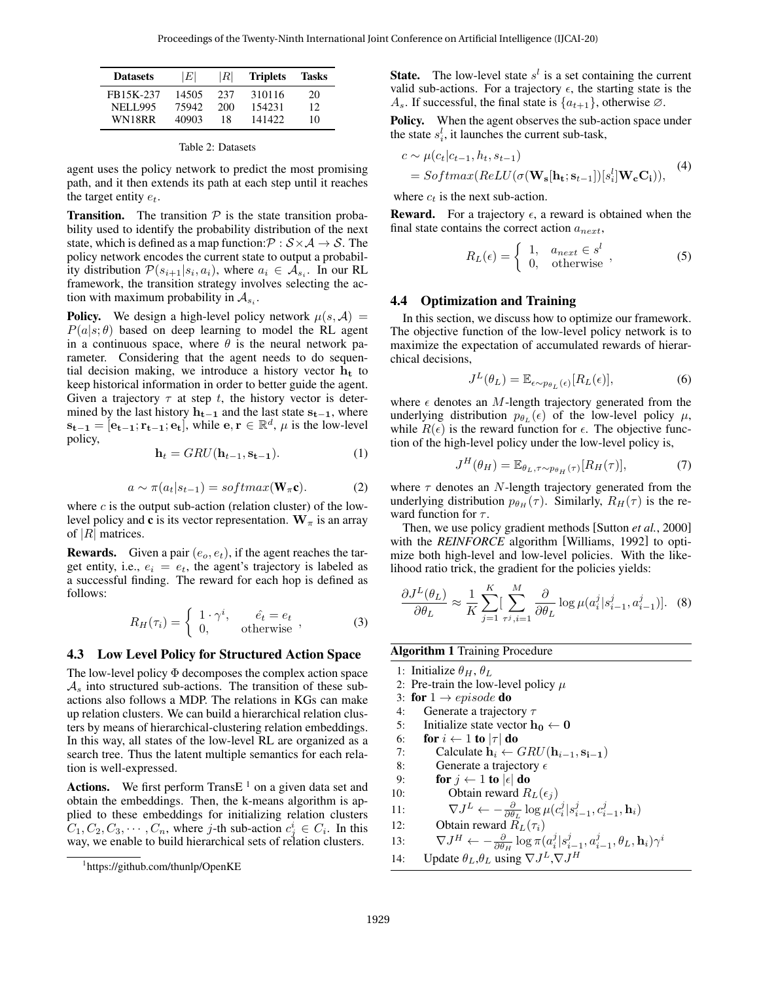| <b>Datasets</b> | ١EΙ   | ΙRΙ | <b>Triplets</b> | Tasks |
|-----------------|-------|-----|-----------------|-------|
| FB15K-237       | 14505 | 237 | 310116          | 20    |
| <b>NELL995</b>  | 75942 | 200 | 154231          | 12    |
| WN18RR          | 40903 | 18  | 141422          | 10    |

|  | Table 2: Datasets |
|--|-------------------|
|--|-------------------|

agent uses the policy network to predict the most promising path, and it then extends its path at each step until it reaches the target entity  $e_t$ .

**Transition.** The transition  $P$  is the state transition probability used to identify the probability distribution of the next state, which is defined as a map function:  $P : S \times A \rightarrow S$ . The policy network encodes the current state to output a probability distribution  $P(s_{i+1}|s_i, a_i)$ , where  $a_i \in A_{s_i}$ . In our RL framework, the transition strategy involves selecting the action with maximum probability in  $A_{s_i}$ .

**Policy.** We design a high-level policy network  $\mu(s, A)$  =  $P(a|s; \theta)$  based on deep learning to model the RL agent in a continuous space, where  $\theta$  is the neural network parameter. Considering that the agent needs to do sequential decision making, we introduce a history vector  $h_t$  to keep historical information in order to better guide the agent. Given a trajectory  $\tau$  at step t, the history vector is determined by the last history  $h_{t-1}$  and the last state  $s_{t-1}$ , where  $\mathbf{s_{t-1}} = [\mathbf{e_{t-1}}; \mathbf{r_{t-1}}; \mathbf{e_t}]$ , while  $\mathbf{e}, \mathbf{r} \in \mathbb{R}^d$ ,  $\mu$  is the low-level policy,

$$
\mathbf{h}_t = GRU(\mathbf{h}_{t-1}, \mathbf{s}_{t-1}).\tag{1}
$$

$$
a \sim \pi(a_t|s_{t-1}) = softmax(\mathbf{W}_{\pi}\mathbf{c}).
$$
 (2)

where  $c$  is the output sub-action (relation cluster) of the lowlevel policy and c is its vector representation.  $W_\pi$  is an array of  $|R|$  matrices.

**Rewards.** Given a pair  $(e_0, e_t)$ , if the agent reaches the target entity, i.e.,  $e_i = e_t$ , the agent's trajectory is labeled as a successful finding. The reward for each hop is defined as follows:

$$
R_H(\tau_i) = \begin{cases} 1 \cdot \gamma^i, & \hat{e_t} = e_t \\ 0, & \text{otherwise} \end{cases}, \tag{3}
$$

#### 4.3 Low Level Policy for Structured Action Space

The low-level policy Φ decomposes the complex action space  $\mathcal{A}_s$  into structured sub-actions. The transition of these subactions also follows a MDP. The relations in KGs can make up relation clusters. We can build a hierarchical relation clusters by means of hierarchical-clustering relation embeddings. In this way, all states of the low-level RL are organized as a search tree. Thus the latent multiple semantics for each relation is well-expressed.

Actions. We first perform Trans $E<sup>1</sup>$  on a given data set and obtain the embeddings. Then, the k-means algorithm is applied to these embeddings for initializing relation clusters  $C_1, C_2, C_3, \cdots, C_n$ , where j-th sub-action  $c_j^i \in C_i$ . In this way, we enable to build hierarchical sets of relation clusters.

**State.** The low-level state  $s^l$  is a set containing the current valid sub-actions. For a trajectory  $\epsilon$ , the starting state is the  $A_s$ . If successful, the final state is  $\{a_{t+1}\}\$ , otherwise  $\varnothing$ .

Policy. When the agent observes the sub-action space under the state  $s_i^l$ , it launches the current sub-task,

$$
c \sim \mu(c_t|c_{t-1}, h_t, s_{t-1})
$$
  
= 
$$
Softmax(ReLU(\sigma(\mathbf{W_s}[\mathbf{h_t}; \mathbf{s}_{t-1}])[s_i^l]\mathbf{W_c}\mathbf{C_i})),
$$
 (4)

where  $c_t$  is the next sub-action.

**Reward.** For a trajectory  $\epsilon$ , a reward is obtained when the final state contains the correct action  $a_{next}$ ,

$$
R_L(\epsilon) = \begin{cases} 1, & a_{next} \in s^l \\ 0, & \text{otherwise} \end{cases} \tag{5}
$$

#### 4.4 Optimization and Training

In this section, we discuss how to optimize our framework. The objective function of the low-level policy network is to maximize the expectation of accumulated rewards of hierarchical decisions,

$$
J^{L}(\theta_{L}) = \mathbb{E}_{\epsilon \sim p_{\theta_{L}}(\epsilon)}[R_{L}(\epsilon)], \tag{6}
$$

where  $\epsilon$  denotes an M-length trajectory generated from the underlying distribution  $p_{\theta_L}(\epsilon)$  of the low-level policy  $\mu$ , while  $R(\epsilon)$  is the reward function for  $\epsilon$ . The objective function of the high-level policy under the low-level policy is,

$$
J^H(\theta_H) = \mathbb{E}_{\theta_L, \tau \sim p_{\theta_H}(\tau)}[R_H(\tau)],\tag{7}
$$

where  $\tau$  denotes an N-length trajectory generated from the underlying distribution  $p_{\theta_H}(\tau)$ . Similarly,  $R_H(\tau)$  is the reward function for  $\tau$ .

Then, we use policy gradient methods [Sutton *et al.*, 2000] with the *REINFORCE* algorithm [Williams, 1992] to optimize both high-level and low-level policies. With the likelihood ratio trick, the gradient for the policies yields:

$$
\frac{\partial J^L(\theta_L)}{\partial \theta_L} \approx \frac{1}{K} \sum_{j=1}^K \left[ \sum_{\tau^j, i=1}^M \frac{\partial}{\partial \theta_L} \log \mu(a_i^j | s_{i-1}^j, a_{i-1}^j) \right]. \tag{8}
$$

Algorithm 1 Training Procedure

- 1: Initialize  $\theta_H$ ,  $\theta_L$
- 2: Pre-train the low-level policy  $\mu$
- 3: for  $1 \rightarrow episode$  do
- 4: Generate a trajectory  $\tau$
- 5: Initialize state vector  $h_0 \leftarrow 0$
- 6: for  $i \leftarrow 1$  to  $|\tau|$  do
- 7: Calculate  $\mathbf{h}_i \leftarrow GRU(\mathbf{h}_{i-1}, \mathbf{s}_{i-1})$
- 8: Generate a trajectory  $\epsilon$
- 9: for  $j \leftarrow 1$  to  $|\epsilon|$  do
- 10: Obtain reward  $R_L(\epsilon_j)$

11: 
$$
\nabla J^L \leftarrow -\frac{\partial}{\partial \theta_L} \log \mu(c_i^j | s_{i-1}^j, c_{i-1}^j, \mathbf{h}_i)
$$

- 12: Obtain reward  $R_L(\tau_i)$
- 13:  $\nabla J^H \leftarrow -\frac{\partial}{\partial \theta_H} \log \pi (a_i^j | s_{i-1}^j, a_{i-1}^j, \theta_L, \mathbf{h}_i) \gamma^i$
- 14: Update  $\theta_L$ , $\theta_L$  using  $\nabla J^L$ , $\nabla J^H$

<sup>1</sup> https://github.com/thunlp/OpenKE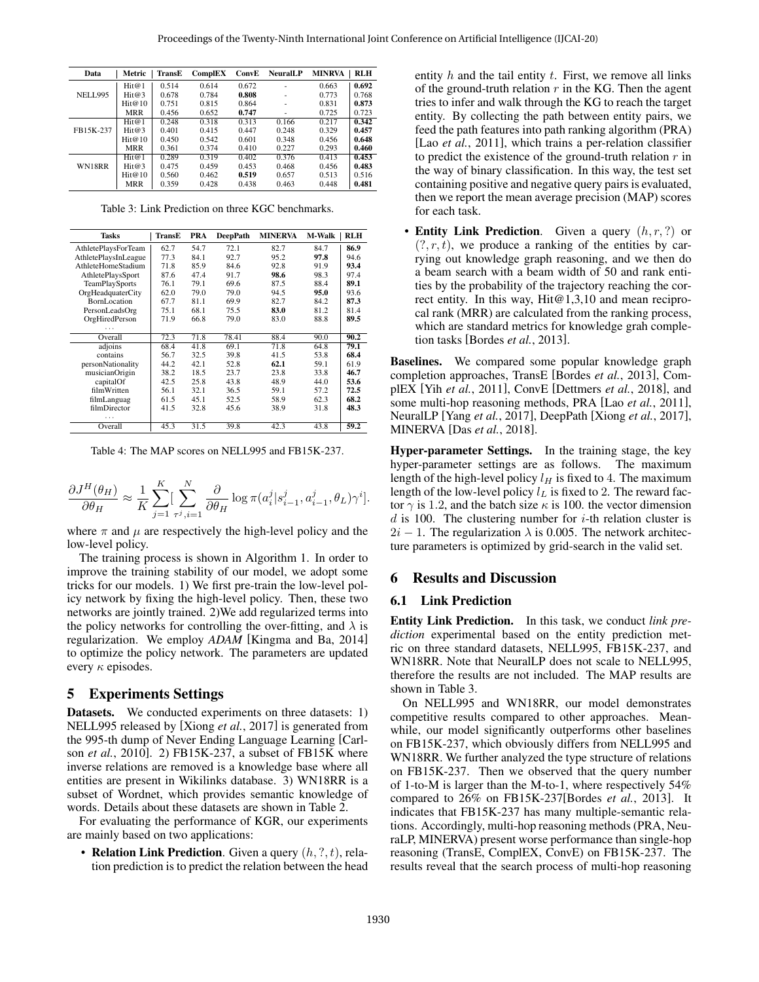| Data           | Metric     | TransE | ComplEX | ConvE | <b>NeuralLP</b> | <b>MINRVA</b> | <b>RLH</b> |
|----------------|------------|--------|---------|-------|-----------------|---------------|------------|
|                | Hit@1      | 0.514  | 0.614   | 0.672 |                 | 0.663         | 0.692      |
| <b>NELL995</b> | Hit@3      | 0.678  | 0.784   | 0.808 |                 | 0.773         | 0.768      |
|                | Hit@10     | 0.751  | 0.815   | 0.864 |                 | 0.831         | 0.873      |
|                | <b>MRR</b> | 0.456  | 0.652   | 0.747 |                 | 0.725         | 0.723      |
|                | Hit@1      | 0.248  | 0.318   | 0.313 | 0.166           | 0.217         | 0.342      |
| FB15K-237      | Hit@3      | 0.401  | 0.415   | 0.447 | 0.248           | 0.329         | 0.457      |
|                | Hit@10     | 0.450  | 0.542   | 0.601 | 0.348           | 0.456         | 0.648      |
|                | MRR        | 0.361  | 0.374   | 0.410 | 0.227           | 0.293         | 0.460      |
|                | Hit@1      | 0.289  | 0.319   | 0.402 | 0.376           | 0.413         | 0.453      |
| WN18RR         | Hit@3      | 0.475  | 0.459   | 0.453 | 0.468           | 0.456         | 0.483      |
|                | Hit@10     | 0.560  | 0.462   | 0.519 | 0.657           | 0.513         | 0.516      |
|                | MRR        | 0.359  | 0.428   | 0.438 | 0.463           | 0.448         | 0.481      |

Table 3: Link Prediction on three KGC benchmarks.

| <b>Tasks</b>         | TransE | PRA  | <b>DeepPath</b> | <b>MINERVA</b> | <b>M</b> Walk | RLH  |
|----------------------|--------|------|-----------------|----------------|---------------|------|
| AthletePlaysForTeam  | 62.7   | 54.7 | 72.1            | 82.7           | 84.7          | 86.9 |
| AthletePlaysInLeague | 77.3   | 84.1 | 92.7            | 95.2           | 97.8          | 94.6 |
| AthleteHomeStadium   | 71.8   | 85.9 | 84.6            | 92.8           | 91.9          | 93.4 |
| AthletePlaysSport    | 87.6   | 47.4 | 91.7            | 98.6           | 98.3          | 97.4 |
| TeamPlaySports       | 76.1   | 79.1 | 69.6            | 87.5           | 88.4          | 89.1 |
| OrgHeadquaterCity    | 62.0   | 79.0 | 79.0            | 94.5           | 95.0          | 93.6 |
| BornLocation         | 67.7   | 81.1 | 69.9            | 82.7           | 84.2          | 87.3 |
| PersonLeadsOrg       | 75.1   | 68.1 | 75.5            | 83.0           | 81.2          | 81.4 |
| OrgHiredPerson       | 71.9   | 66.8 | 79.0            | 83.0           | 88.8          | 89.5 |
|                      |        |      |                 |                |               |      |
| Overall              | 72.3   | 71.8 | 78.41           | 88.4           | 90.0          | 90.2 |
| adjoins              | 68.4   | 41.8 | 69.1            | 71.8           | 64.8          | 79.1 |
| contains             | 56.7   | 32.5 | 39.8            | 41.5           | 53.8          | 68.4 |
| personNationality    | 44.2   | 42.1 | 52.8            | 62.1           | 59.1          | 61.9 |
| musicianOrigin       | 38.2   | 18.5 | 23.7            | 23.8           | 33.8          | 46.7 |
| capitalOf            | 42.5   | 25.8 | 43.8            | 48.9           | 44.0          | 53.6 |
| filmWritten          | 56.1   | 32.1 | 36.5            | 59.1           | 57.2          | 72.5 |
| filmLanguag          | 61.5   | 45.1 | 52.5            | 58.9           | 62.3          | 68.2 |
| filmDirector         | 41.5   | 32.8 | 45.6            | 38.9           | 31.8          | 48.3 |
|                      |        |      |                 |                |               |      |
| Overall              | 45.3   | 31.5 | 39.8            | 42.3           | 43.8          | 59.2 |

Table 4: The MAP scores on NELL995 and FB15K-237.

$$
\frac{\partial J^H(\theta_H)}{\partial \theta_H} \approx \frac{1}{K} \sum_{j=1}^K \left[ \sum_{\tau^j, i=1}^N \frac{\partial}{\partial \theta_H} \log \pi(a_i^j | s_{i-1}^j, a_{i-1}^j, \theta_L) \gamma^i \right].
$$

where  $\pi$  and  $\mu$  are respectively the high-level policy and the low-level policy.

The training process is shown in Algorithm 1. In order to improve the training stability of our model, we adopt some tricks for our models. 1) We first pre-train the low-level policy network by fixing the high-level policy. Then, these two networks are jointly trained. 2)We add regularized terms into the policy networks for controlling the over-fitting, and  $\lambda$  is regularization. We employ *ADAM* [Kingma and Ba, 2014] to optimize the policy network. The parameters are updated every  $\kappa$  episodes.

#### 5 Experiments Settings

**Datasets.** We conducted experiments on three datasets: 1) NELL995 released by [Xiong *et al.*, 2017] is generated from the 995-th dump of Never Ending Language Learning [Carlson *et al.*, 2010]. 2) FB15K-237, a subset of FB15K where inverse relations are removed is a knowledge base where all entities are present in Wikilinks database. 3) WN18RR is a subset of Wordnet, which provides semantic knowledge of words. Details about these datasets are shown in Table 2.

For evaluating the performance of KGR, our experiments are mainly based on two applications:

• Relation Link Prediction. Given a query  $(h, ?, t)$ , relation prediction is to predict the relation between the head entity  $h$  and the tail entity  $t$ . First, we remove all links of the ground-truth relation  $r$  in the KG. Then the agent tries to infer and walk through the KG to reach the target entity. By collecting the path between entity pairs, we feed the path features into path ranking algorithm (PRA) [Lao *et al.*, 2011], which trains a per-relation classifier to predict the existence of the ground-truth relation  $r$  in the way of binary classification. In this way, the test set containing positive and negative query pairs is evaluated, then we report the mean average precision (MAP) scores for each task.

• Entity Link Prediction. Given a query  $(h, r, ?)$  or  $(?, r, t)$ , we produce a ranking of the entities by carrying out knowledge graph reasoning, and we then do a beam search with a beam width of 50 and rank entities by the probability of the trajectory reaching the correct entity. In this way, Hit@1,3,10 and mean reciprocal rank (MRR) are calculated from the ranking process, which are standard metrics for knowledge grah completion tasks [Bordes *et al.*, 2013].

Baselines. We compared some popular knowledge graph completion approaches, TransE [Bordes *et al.*, 2013], ComplEX [Yih *et al.*, 2011], ConvE [Dettmers *et al.*, 2018], and some multi-hop reasoning methods, PRA [Lao *et al.*, 2011], NeuralLP [Yang *et al.*, 2017], DeepPath [Xiong *et al.*, 2017], MINERVA [Das *et al.*, 2018].

Hyper-parameter Settings. In the training stage, the key hyper-parameter settings are as follows. The maximum length of the high-level policy  $l_H$  is fixed to 4. The maximum length of the low-level policy  $l<sub>L</sub>$  is fixed to 2. The reward factor  $\gamma$  is 1.2, and the batch size  $\kappa$  is 100. the vector dimension  $d$  is 100. The clustering number for  $i$ -th relation cluster is  $2i - 1$ . The regularization  $\lambda$  is 0.005. The network architecture parameters is optimized by grid-search in the valid set.

#### 6 Results and Discussion

#### 6.1 Link Prediction

Entity Link Prediction. In this task, we conduct *link prediction* experimental based on the entity prediction metric on three standard datasets, NELL995, FB15K-237, and WN18RR. Note that NeuralLP does not scale to NELL995, therefore the results are not included. The MAP results are shown in Table 3.

On NELL995 and WN18RR, our model demonstrates competitive results compared to other approaches. Meanwhile, our model significantly outperforms other baselines on FB15K-237, which obviously differs from NELL995 and WN18RR. We further analyzed the type structure of relations on FB15K-237. Then we observed that the query number of 1-to-M is larger than the M-to-1, where respectively 54% compared to 26% on FB15K-237[Bordes *et al.*, 2013]. It indicates that FB15K-237 has many multiple-semantic relations. Accordingly, multi-hop reasoning methods (PRA, NeuraLP, MINERVA) present worse performance than single-hop reasoning (TransE, ComplEX, ConvE) on FB15K-237. The results reveal that the search process of multi-hop reasoning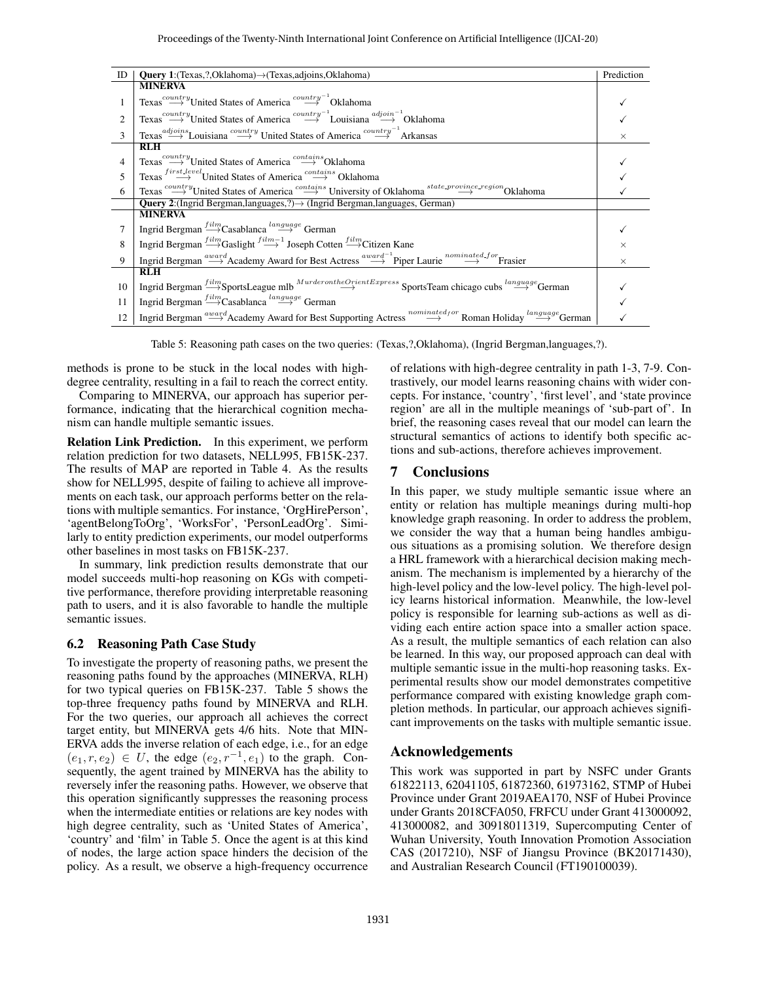| ID | <b>Query 1:</b> (Texas, ?, Oklahoma) $\rightarrow$ (Texas, adjoins, Oklahoma)                                                                                                                      | Prediction |
|----|----------------------------------------------------------------------------------------------------------------------------------------------------------------------------------------------------|------------|
|    | <b>MINERVA</b>                                                                                                                                                                                     |            |
|    | Texas <sup>country</sup> United States of America <sup>country<sup>-1</sup>Oklahoma</sup>                                                                                                          |            |
| 2  | Texas <sup>country</sup> United States of America <sup>country<sup>-1</sup> Louisiana<sup>adjoin-1</sup> Oklahoma</sup>                                                                            |            |
| 3  | Texas <sup>adjoins</sup> Louisiana <sup>country</sup> United States of America <sup>country<sup>-1</sup> Arkansas</sup>                                                                            | $\times$   |
|    | <b>RLH</b>                                                                                                                                                                                         |            |
| 4  | Texas <sup>country</sup> United States of America <sup>contains</sup> Oklahoma                                                                                                                     |            |
| 5  | Texas $\overset{first. Level}{\longrightarrow}$ United States of America $\overset{contains}{\longrightarrow}$ Oklahoma                                                                            |            |
| 6  | Texas $\overset{contrry}{\longrightarrow}$ United States of America $\overset{contains}{\longrightarrow}$ University of Oklahoma $^{state\_province\_region}$ Oklahoma                             |            |
|    | <b>Query 2:</b> (Ingrid Bergman, languages, ?) $\rightarrow$ (Ingrid Bergman, languages, German)                                                                                                   |            |
|    | <b>MINERVA</b>                                                                                                                                                                                     |            |
|    | Ingrid Bergman $\stackrel{film}{\longrightarrow}$ Casablanca $\stackrel{language}{\longrightarrow}$ German                                                                                         |            |
| 8  | Ingrid Bergman $\stackrel{film}{\longrightarrow}$ Gaslight $\stackrel{film-1}{\longrightarrow}$ Joseph Cotten $\stackrel{film}{\longrightarrow}$ Citizen Kane                                      |            |
| 9  | Ingrid Bergman $\stackrel{award}{\longrightarrow}$ Academy Award for Best Actress $\stackrel{award}{\longrightarrow}$ Piper Laurie $\stackrel{nominated-for}{\longrightarrow}$ Frasier             | $\times$   |
|    | <b>RLH</b>                                                                                                                                                                                         |            |
| 10 | Ingrid Bergman $\stackrel{film}{\longrightarrow}$ SportsLeague mlb $\stackrel{Murderon the Orient Express}{\longrightarrow}$ SportsTeam chicago cubs $\stackrel{language}{\longrightarrow}$ German |            |
| 11 | Ingrid Bergman $\overset{film}{\longrightarrow}$ Casablanca $\overset{language}{\longrightarrow}$ German                                                                                           |            |
| 12 | $\text{Ingrid Bergman} \xrightarrow{wavard} \text{Academy Award for Best Supporting Actress} \xrightarrow{nominated for} \text{Roman Holiday} \xrightarrow{language} \text{German}$                |            |

Table 5: Reasoning path cases on the two queries: (Texas,?,Oklahoma), (Ingrid Bergman,languages,?).

methods is prone to be stuck in the local nodes with highdegree centrality, resulting in a fail to reach the correct entity.

Comparing to MINERVA, our approach has superior performance, indicating that the hierarchical cognition mechanism can handle multiple semantic issues.

Relation Link Prediction. In this experiment, we perform relation prediction for two datasets, NELL995, FB15K-237. The results of MAP are reported in Table 4. As the results show for NELL995, despite of failing to achieve all improvements on each task, our approach performs better on the relations with multiple semantics. For instance, 'OrgHirePerson', 'agentBelongToOrg', 'WorksFor', 'PersonLeadOrg'. Similarly to entity prediction experiments, our model outperforms other baselines in most tasks on FB15K-237.

In summary, link prediction results demonstrate that our model succeeds multi-hop reasoning on KGs with competitive performance, therefore providing interpretable reasoning path to users, and it is also favorable to handle the multiple semantic issues.

## 6.2 Reasoning Path Case Study

To investigate the property of reasoning paths, we present the reasoning paths found by the approaches (MINERVA, RLH) for two typical queries on FB15K-237. Table 5 shows the top-three frequency paths found by MINERVA and RLH. For the two queries, our approach all achieves the correct target entity, but MINERVA gets 4/6 hits. Note that MIN-ERVA adds the inverse relation of each edge, i.e., for an edge  $(e_1, r, e_2) \in U$ , the edge  $(e_2, r^{-1}, e_1)$  to the graph. Consequently, the agent trained by MINERVA has the ability to reversely infer the reasoning paths. However, we observe that this operation significantly suppresses the reasoning process when the intermediate entities or relations are key nodes with high degree centrality, such as 'United States of America', 'country' and 'film' in Table 5. Once the agent is at this kind of nodes, the large action space hinders the decision of the policy. As a result, we observe a high-frequency occurrence of relations with high-degree centrality in path 1-3, 7-9. Contrastively, our model learns reasoning chains with wider concepts. For instance, 'country', 'first level', and 'state province region' are all in the multiple meanings of 'sub-part of'. In brief, the reasoning cases reveal that our model can learn the structural semantics of actions to identify both specific actions and sub-actions, therefore achieves improvement.

## 7 Conclusions

In this paper, we study multiple semantic issue where an entity or relation has multiple meanings during multi-hop knowledge graph reasoning. In order to address the problem, we consider the way that a human being handles ambiguous situations as a promising solution. We therefore design a HRL framework with a hierarchical decision making mechanism. The mechanism is implemented by a hierarchy of the high-level policy and the low-level policy. The high-level policy learns historical information. Meanwhile, the low-level policy is responsible for learning sub-actions as well as dividing each entire action space into a smaller action space. As a result, the multiple semantics of each relation can also be learned. In this way, our proposed approach can deal with multiple semantic issue in the multi-hop reasoning tasks. Experimental results show our model demonstrates competitive performance compared with existing knowledge graph completion methods. In particular, our approach achieves significant improvements on the tasks with multiple semantic issue.

## Acknowledgements

This work was supported in part by NSFC under Grants 61822113, 62041105, 61872360, 61973162, STMP of Hubei Province under Grant 2019AEA170, NSF of Hubei Province under Grants 2018CFA050, FRFCU under Grant 413000092, 413000082, and 30918011319, Supercomputing Center of Wuhan University, Youth Innovation Promotion Association CAS (2017210), NSF of Jiangsu Province (BK20171430), and Australian Research Council (FT190100039).